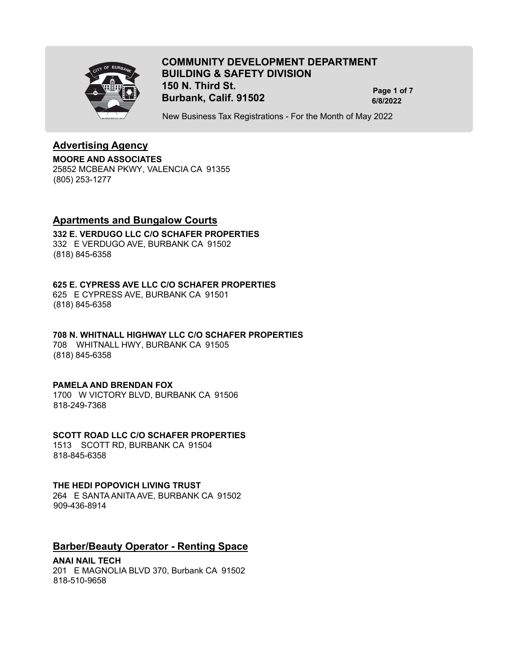

# **COMMUNITY DEVELOPMENT DEPARTMENT BUILDING & SAFETY DIVISION 150 N. Third St. Burbank, Calif. 91502 6/8/2022**

**Page 1 of 7**

New Business Tax Registrations - For the Month of May 2022

## **Advertising Agency**

**MOORE AND ASSOCIATES** 25852 MCBEAN PKWY, VALENCIA CA 91355 (805) 253-1277

## **Apartments and Bungalow Courts**

### **332 E. VERDUGO LLC C/O SCHAFER PROPERTIES**

332 E VERDUGO AVE, BURBANK CA 91502 (818) 845-6358

## **625 E. CYPRESS AVE LLC C/O SCHAFER PROPERTIES**

625 E CYPRESS AVE, BURBANK CA 91501 (818) 845-6358

#### **708 N. WHITNALL HIGHWAY LLC C/O SCHAFER PROPERTIES**

708 WHITNALL HWY, BURBANK CA 91505 (818) 845-6358

## **PAMELA AND BRENDAN FOX**

1700 W VICTORY BLVD, BURBANK CA 91506 818-249-7368

## **SCOTT ROAD LLC C/O SCHAFER PROPERTIES**

1513 SCOTT RD, BURBANK CA 91504 818-845-6358

## **THE HEDI POPOVICH LIVING TRUST**

264 E SANTA ANITA AVE, BURBANK CA 91502 909-436-8914

## **Barber/Beauty Operator - Renting Space**

## **ANAI NAIL TECH**

201 E MAGNOLIA BLVD 370, Burbank CA 91502 818-510-9658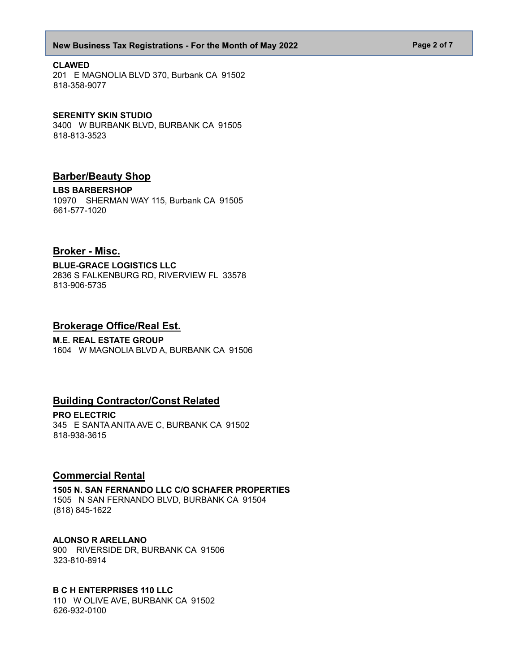#### **New Business Tax Registrations - For the Month of May 2022 Page 2 of 7 Page 2 of 7**

#### **CLAWED**

201 E MAGNOLIA BLVD 370, Burbank CA 91502 818-358-9077

#### **SERENITY SKIN STUDIO**

3400 W BURBANK BLVD, BURBANK CA 91505 818-813-3523

## **Barber/Beauty Shop**

**LBS BARBERSHOP**

10970 SHERMAN WAY 115, Burbank CA 91505 661-577-1020

## **Broker - Misc.**

**BLUE-GRACE LOGISTICS LLC** 2836 S FALKENBURG RD, RIVERVIEW FL 33578 813-906-5735

### **Brokerage Office/Real Est.**

## **M.E. REAL ESTATE GROUP**

1604 W MAGNOLIA BLVD A, BURBANK CA 91506

## **Building Contractor/Const Related**

**PRO ELECTRIC** 345 E SANTA ANITA AVE C, BURBANK CA 91502 818-938-3615

## **Commercial Rental**

**1505 N. SAN FERNANDO LLC C/O SCHAFER PROPERTIES** 1505 N SAN FERNANDO BLVD, BURBANK CA 91504 (818) 845-1622

#### **ALONSO R ARELLANO**

900 RIVERSIDE DR, BURBANK CA 91506 323-810-8914

#### **B C H ENTERPRISES 110 LLC**

110 W OLIVE AVE, BURBANK CA 91502 626-932-0100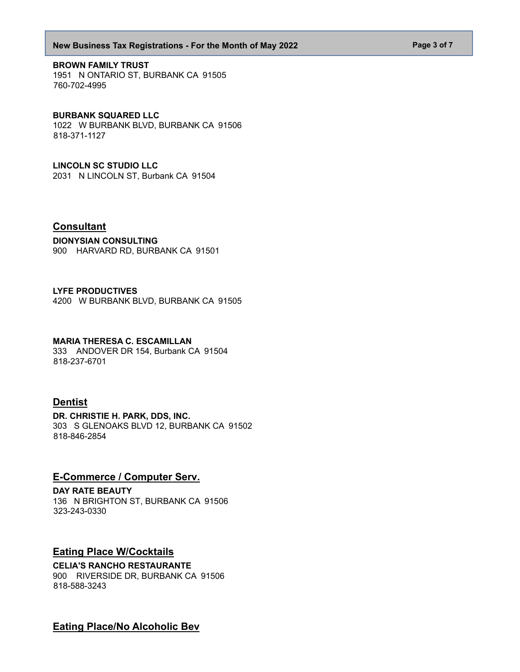#### **New Business Tax Registrations - For the Month of May 2022 Page 3 of 7 Page 3 of 7**

#### **BROWN FAMILY TRUST**

1951 N ONTARIO ST, BURBANK CA 91505 760-702-4995

#### **BURBANK SQUARED LLC**

1022 W BURBANK BLVD, BURBANK CA 91506 818-371-1127

### **LINCOLN SC STUDIO LLC**

2031 N LINCOLN ST, Burbank CA 91504

## **Consultant**

### **DIONYSIAN CONSULTING**

900 HARVARD RD, BURBANK CA 91501

### **LYFE PRODUCTIVES**

4200 W BURBANK BLVD, BURBANK CA 91505

### **MARIA THERESA C. ESCAMILLAN**

333 ANDOVER DR 154, Burbank CA 91504 818-237-6701

## **Dentist**

**DR. CHRISTIE H. PARK, DDS, INC.** 303 S GLENOAKS BLVD 12, BURBANK CA 91502 818-846-2854

## **E-Commerce / Computer Serv.**

**DAY RATE BEAUTY** 136 N BRIGHTON ST, BURBANK CA 91506 323-243-0330

## **Eating Place W/Cocktails**

## **CELIA'S RANCHO RESTAURANTE**

900 RIVERSIDE DR, BURBANK CA 91506 818-588-3243

**Eating Place/No Alcoholic Bev**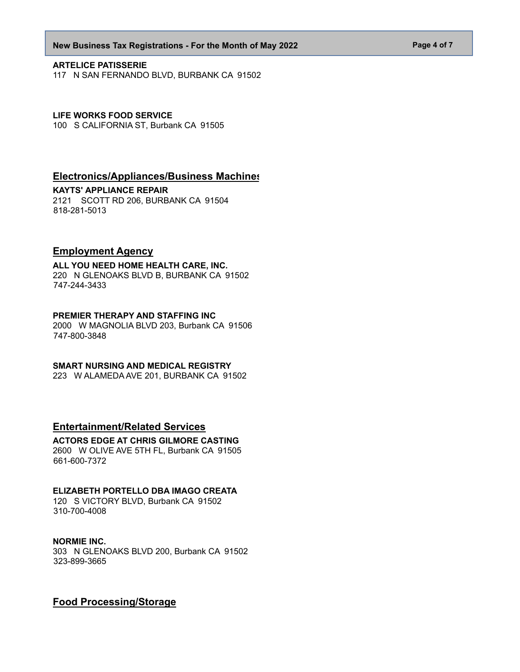#### **New Business Tax Registrations - For the Month of May 2022 Page 4 of 7 Page 4 of 7**

#### **ARTELICE PATISSERIE**

117 N SAN FERNANDO BLVD, BURBANK CA 91502

#### **LIFE WORKS FOOD SERVICE**

100 S CALIFORNIA ST, Burbank CA 91505

## **Electronics/Appliances/Business Machines**

#### **KAYTS' APPLIANCE REPAIR**

2121 SCOTT RD 206, BURBANK CA 91504 818-281-5013

## **Employment Agency**

**ALL YOU NEED HOME HEALTH CARE, INC.** 220 N GLENOAKS BLVD B, BURBANK CA 91502 747-244-3433

### **PREMIER THERAPY AND STAFFING INC**

2000 W MAGNOLIA BLVD 203, Burbank CA 91506 747-800-3848

#### **SMART NURSING AND MEDICAL REGISTRY**

223 W ALAMEDA AVE 201, BURBANK CA 91502

## **Entertainment/Related Services**

#### **ACTORS EDGE AT CHRIS GILMORE CASTING** 2600 W OLIVE AVE 5TH FL, Burbank CA 91505 661-600-7372

## **ELIZABETH PORTELLO DBA IMAGO CREATA**

120 S VICTORY BLVD, Burbank CA 91502 310-700-4008

## **NORMIE INC.**

303 N GLENOAKS BLVD 200, Burbank CA 91502 323-899-3665

## **Food Processing/Storage**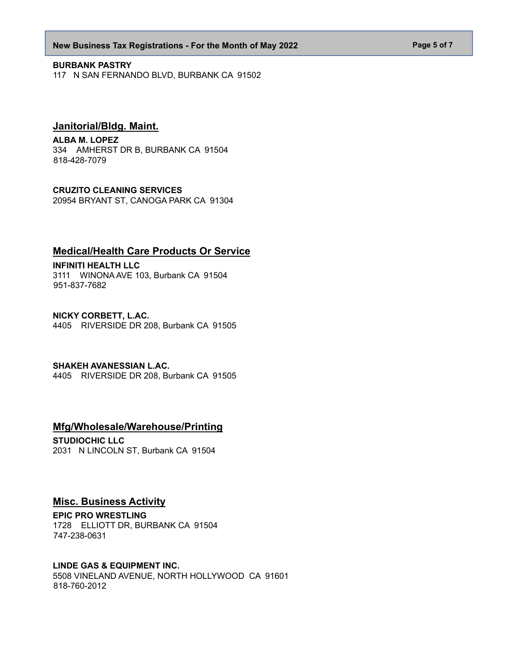#### **New Business Tax Registrations - For the Month of May 2022 Page 5 of 7 Page 5 of 7**

#### **BURBANK PASTRY**

117 N SAN FERNANDO BLVD, BURBANK CA 91502

## **Janitorial/Bldg. Maint.**

#### **ALBA M. LOPEZ**

334 AMHERST DR B, BURBANK CA 91504 818-428-7079

#### **CRUZITO CLEANING SERVICES**

20954 BRYANT ST, CANOGA PARK CA 91304

## **Medical/Health Care Products Or Service**

**INFINITI HEALTH LLC** 3111 WINONA AVE 103, Burbank CA 91504 951-837-7682

**NICKY CORBETT, L.AC.** 4405 RIVERSIDE DR 208, Burbank CA 91505

#### **SHAKEH AVANESSIAN L.AC.**

4405 RIVERSIDE DR 208, Burbank CA 91505

## **Mfg/Wholesale/Warehouse/Printing**

**STUDIOCHIC LLC** 2031 N LINCOLN ST, Burbank CA 91504

## **Misc. Business Activity**

**EPIC PRO WRESTLING** 1728 ELLIOTT DR, BURBANK CA 91504 747-238-0631

### **LINDE GAS & EQUIPMENT INC.**

5508 VINELAND AVENUE, NORTH HOLLYWOOD CA 91601 818-760-2012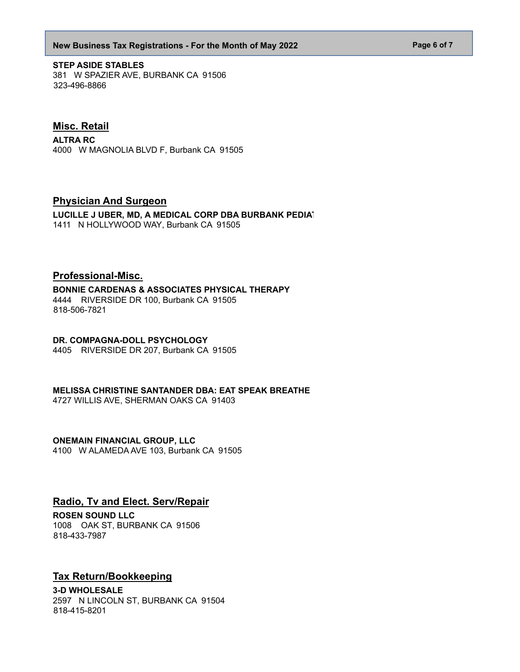#### **New Business Tax Registrations - For the Month of May 2022 Page 6 of 7 Page 6 of 7**

**STEP ASIDE STABLES** 381 W SPAZIER AVE, BURBANK CA 91506 323-496-8866

## **Misc. Retail**

**ALTRA RC** 4000 W MAGNOLIA BLVD F, Burbank CA 91505

## **Physician And Surgeon**

LUCILLE J UBER, MD, A MEDICAL CORP DBA BURBANK PEDIAT 1411 N HOLLYWOOD WAY, Burbank CA 91505

## **Professional-Misc.**

#### **BONNIE CARDENAS & ASSOCIATES PHYSICAL THERAPY**

4444 RIVERSIDE DR 100, Burbank CA 91505 818-506-7821

#### **DR. COMPAGNA-DOLL PSYCHOLOGY**

4405 RIVERSIDE DR 207, Burbank CA 91505

#### **MELISSA CHRISTINE SANTANDER DBA: EAT SPEAK BREATHE**

4727 WILLIS AVE, SHERMAN OAKS CA 91403

## **ONEMAIN FINANCIAL GROUP, LLC**

4100 W ALAMEDA AVE 103, Burbank CA 91505

## **Radio, Tv and Elect. Serv/Repair**

#### **ROSEN SOUND LLC**

1008 OAK ST, BURBANK CA 91506 818-433-7987

## **Tax Return/Bookkeeping**

**3-D WHOLESALE** 2597 N LINCOLN ST, BURBANK CA 91504 818-415-8201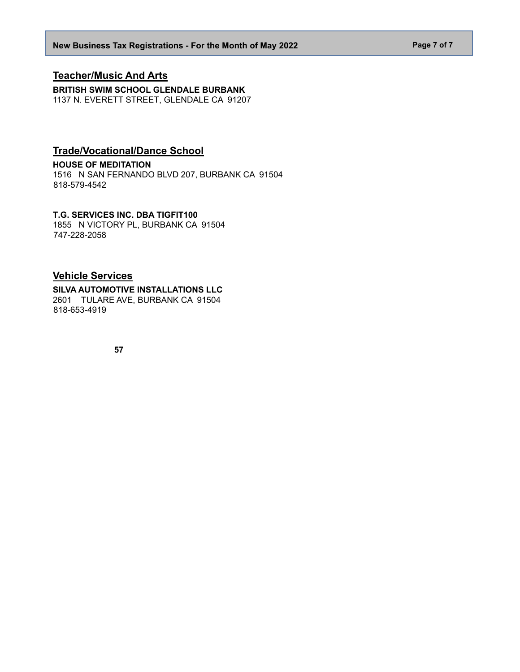## **Teacher/Music And Arts**

**BRITISH SWIM SCHOOL GLENDALE BURBANK** 1137 N. EVERETT STREET, GLENDALE CA 91207

# **Trade/Vocational/Dance School**

### **HOUSE OF MEDITATION**

1516 N SAN FERNANDO BLVD 207, BURBANK CA 91504 818-579-4542

## **T.G. SERVICES INC. DBA TIGFIT100**

1855 N VICTORY PL, BURBANK CA 91504 747-228-2058

## **Vehicle Services**

#### **SILVA AUTOMOTIVE INSTALLATIONS LLC** 2601 TULARE AVE, BURBANK CA 91504 818-653-4919